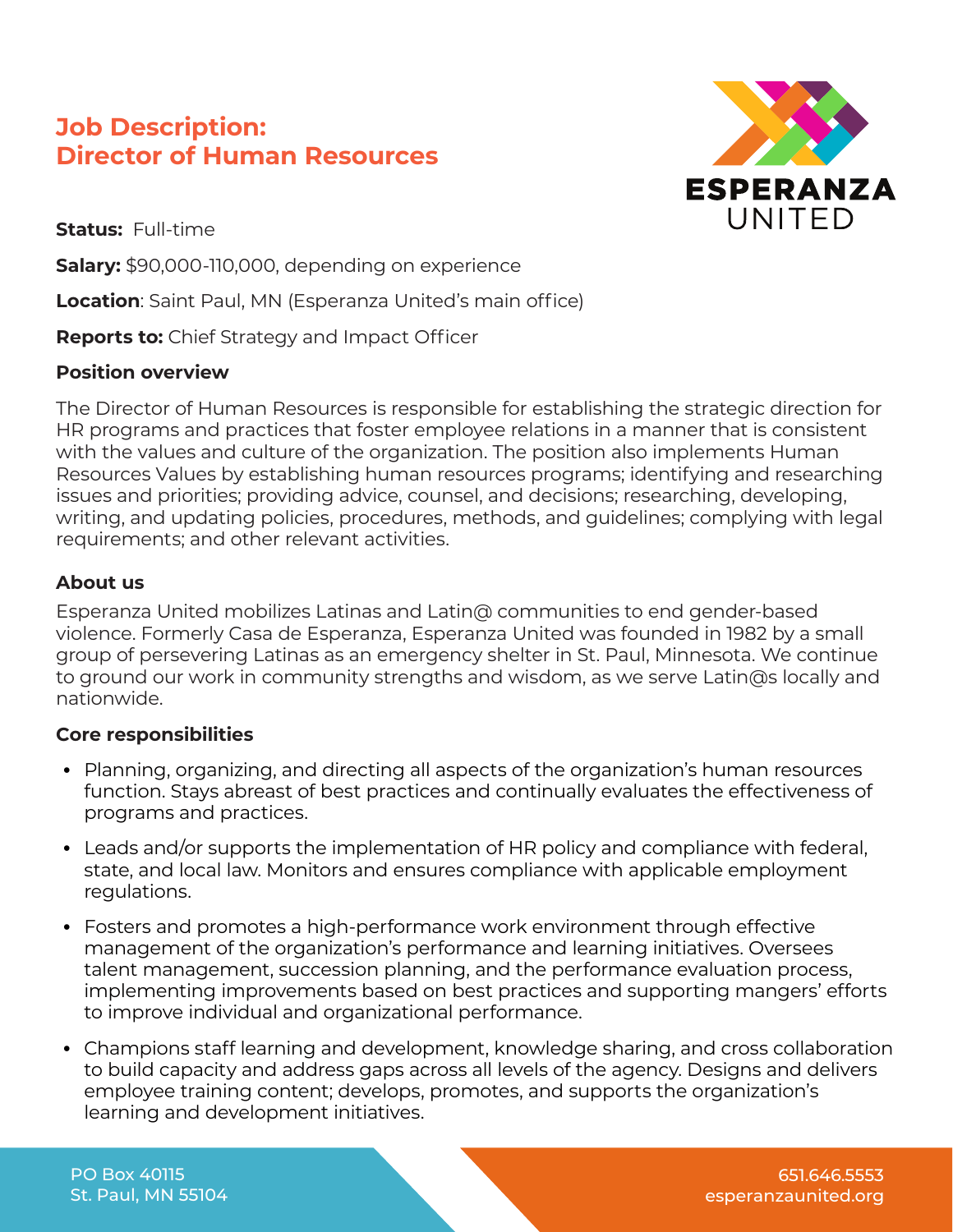# **Job Description: Director of Human Resources**

**ESPERANZA** UNITED

**Status:** Full-time

**Salary:** \$90,000-110,000, depending on experience

**Location**: Saint Paul, MN (Esperanza United's main office)

**Reports to:** Chief Strategy and Impact Officer

#### **Position overview**

The Director of Human Resources is responsible for establishing the strategic direction for HR programs and practices that foster employee relations in a manner that is consistent with the values and culture of the organization. The position also implements Human Resources Values by establishing human resources programs; identifying and researching issues and priorities; providing advice, counsel, and decisions; researching, developing, writing, and updating policies, procedures, methods, and guidelines; complying with legal requirements; and other relevant activities.

#### **About us**

Esperanza United mobilizes Latinas and Latin@ communities to end gender-based violence. Formerly Casa de Esperanza, Esperanza United was founded in 1982 by a small group of persevering Latinas as an emergency shelter in St. Paul, Minnesota. We continue to ground our work in community strengths and wisdom, as we serve Latin@s locally and nationwide.

#### **Core responsibilities**

- **•** Planning, organizing, and directing all aspects of the organization's human resources function. Stays abreast of best practices and continually evaluates the effectiveness of programs and practices.
- **•** Leads and/or supports the implementation of HR policy and compliance with federal, state, and local law. Monitors and ensures compliance with applicable employment regulations.
- **•** Fosters and promotes a high-performance work environment through effective management of the organization's performance and learning initiatives. Oversees talent management, succession planning, and the performance evaluation process, implementing improvements based on best practices and supporting mangers' efforts to improve individual and organizational performance.
- **•** Champions staff learning and development, knowledge sharing, and cross collaboration to build capacity and address gaps across all levels of the agency. Designs and delivers employee training content; develops, promotes, and supports the organization's learning and development initiatives.

PO Box 40115 St. Paul, MN 55104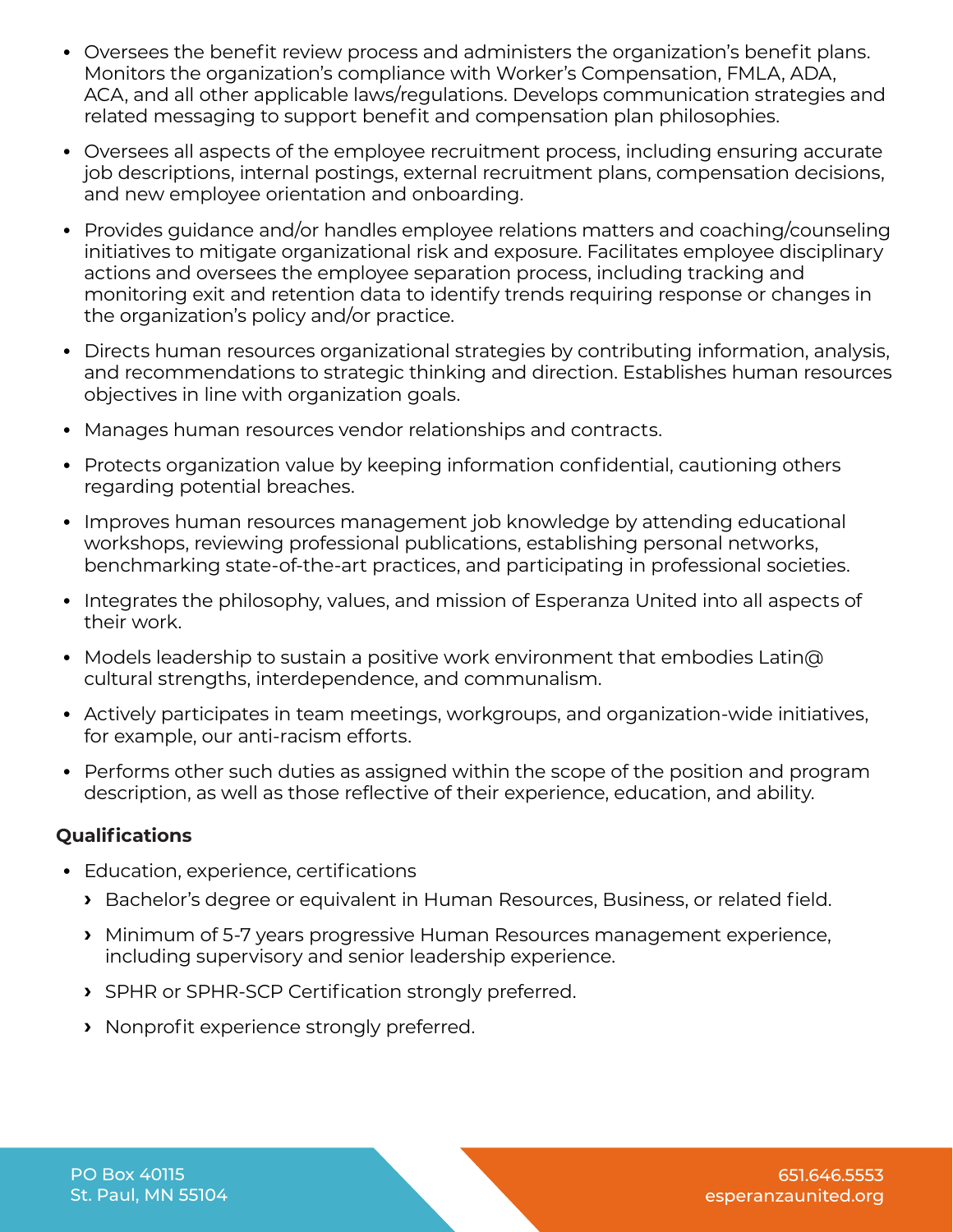- **•** Oversees the benefit review process and administers the organization's benefit plans. Monitors the organization's compliance with Worker's Compensation, FMLA, ADA, ACA, and all other applicable laws/regulations. Develops communication strategies and related messaging to support benefit and compensation plan philosophies.
- **•** Oversees all aspects of the employee recruitment process, including ensuring accurate job descriptions, internal postings, external recruitment plans, compensation decisions, and new employee orientation and onboarding.
- **•** Provides guidance and/or handles employee relations matters and coaching/counseling initiatives to mitigate organizational risk and exposure. Facilitates employee disciplinary actions and oversees the employee separation process, including tracking and monitoring exit and retention data to identify trends requiring response or changes in the organization's policy and/or practice.
- **•** Directs human resources organizational strategies by contributing information, analysis, and recommendations to strategic thinking and direction. Establishes human resources objectives in line with organization goals.
- **•** Manages human resources vendor relationships and contracts.
- **•** Protects organization value by keeping information confidential, cautioning others regarding potential breaches.
- **•** Improves human resources management job knowledge by attending educational workshops, reviewing professional publications, establishing personal networks, benchmarking state-of-the-art practices, and participating in professional societies.
- **•** Integrates the philosophy, values, and mission of Esperanza United into all aspects of their work.
- **•** Models leadership to sustain a positive work environment that embodies Latin@ cultural strengths, interdependence, and communalism.
- **•** Actively participates in team meetings, workgroups, and organization-wide initiatives, for example, our anti-racism efforts.
- **•** Performs other such duties as assigned within the scope of the position and program description, as well as those reflective of their experience, education, and ability.

## **Qualifications**

- **•** Education, experience, certifications
	- **›** Bachelor's degree or equivalent in Human Resources, Business, or related field.
	- **›** Minimum of 5-7 years progressive Human Resources management experience, including supervisory and senior leadership experience.
	- **›** SPHR or SPHR-SCP Certification strongly preferred.
	- **›** Nonprofit experience strongly preferred.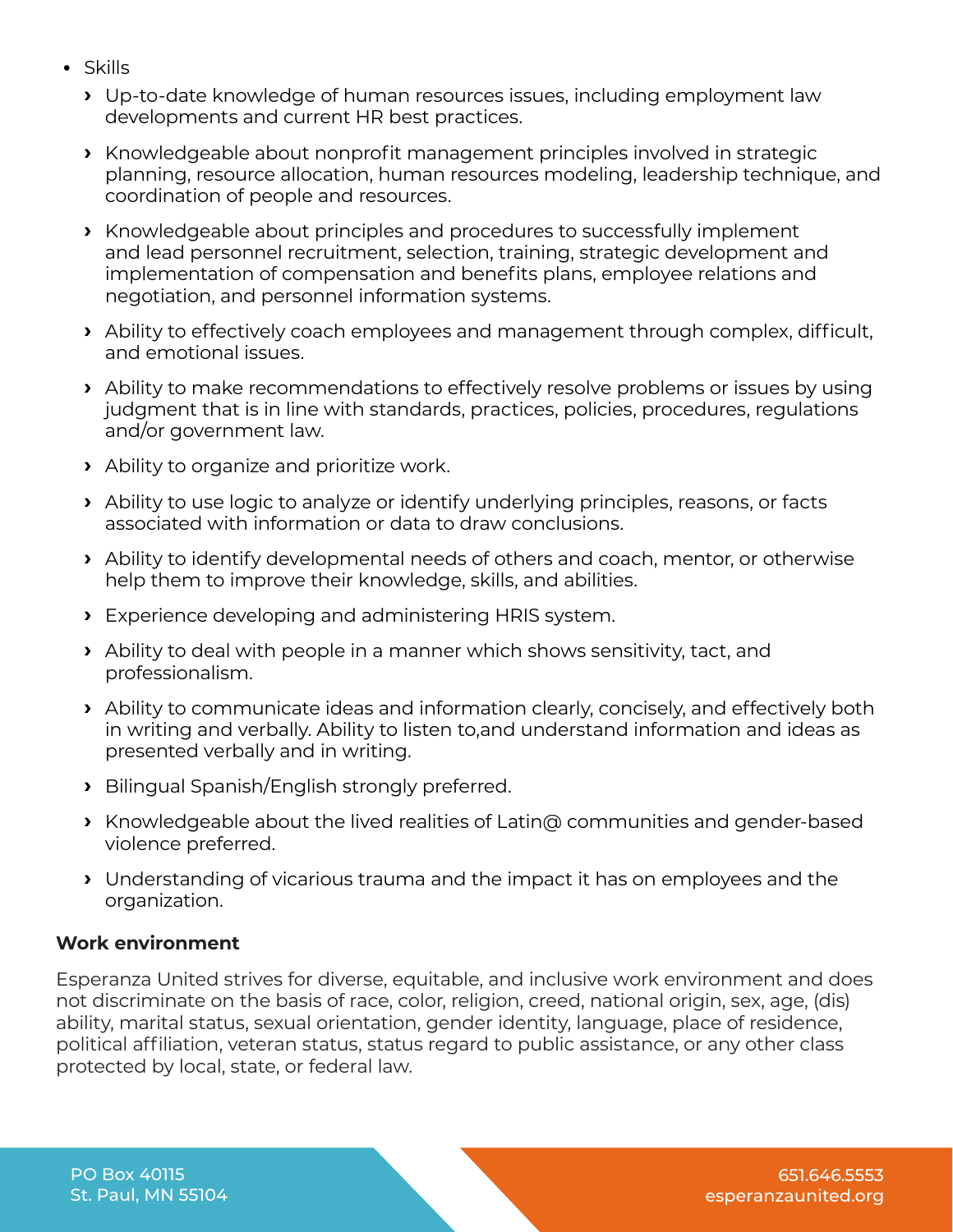- **•** Skills
	- **›** Up-to-date knowledge of human resources issues, including employment law developments and current HR best practices.
	- **›** Knowledgeable about nonprofit management principles involved in strategic planning, resource allocation, human resources modeling, leadership technique, and coordination of people and resources.
	- **›** Knowledgeable about principles and procedures to successfully implement and lead personnel recruitment, selection, training, strategic development and implementation of compensation and benefits plans, employee relations and negotiation, and personnel information systems.
	- **›** Ability to effectively coach employees and management through complex, difficult, and emotional issues.
	- **›** Ability to make recommendations to effectively resolve problems or issues by using judgment that is in line with standards, practices, policies, procedures, regulations and/or government law.
	- **›** Ability to organize and prioritize work.
	- **›** Ability to use logic to analyze or identify underlying principles, reasons, or facts associated with information or data to draw conclusions.
	- **›** Ability to identify developmental needs of others and coach, mentor, or otherwise help them to improve their knowledge, skills, and abilities.
	- **›** Experience developing and administering HRIS system.
	- **›** Ability to deal with people in a manner which shows sensitivity, tact, and professionalism.
	- **›** Ability to communicate ideas and information clearly, concisely, and effectively both in writing and verbally. Ability to listen to,and understand information and ideas as presented verbally and in writing.
	- **›** Bilingual Spanish/English strongly preferred.
	- **›** Knowledgeable about the lived realities of Latin@ communities and gender-based violence preferred.
	- **›** Understanding of vicarious trauma and the impact it has on employees and the organization.

## **Work environment**

Esperanza United strives for diverse, equitable, and inclusive work environment and does not discriminate on the basis of race, color, religion, creed, national origin, sex, age, (dis) ability, marital status, sexual orientation, gender identity, language, place of residence, political affiliation, veteran status, status regard to public assistance, or any other class protected by local, state, or federal law.